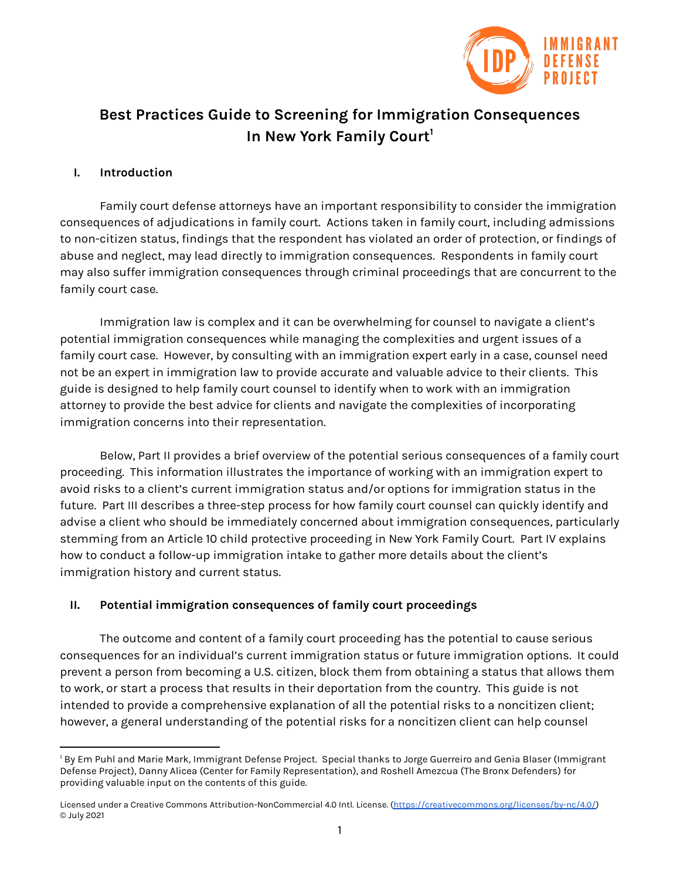

# **Best Practices Guide to Screening for Immigration Consequences In New York Family Court 1**

#### **I. Introduction**

Family court defense attorneys have an important responsibility to consider the immigration consequences of adjudications in family court. Actions taken in family court, including admissions to non-citizen status, findings that the respondent has violated an order of protection, or findings of abuse and neglect, may lead directly to immigration consequences. Respondents in family court may also suffer immigration consequences through criminal proceedings that are concurrent to the family court case.

Immigration law is complex and it can be overwhelming for counsel to navigate a client's potential immigration consequences while managing the complexities and urgent issues of a family court case. However, by consulting with an immigration expert early in a case, counsel need not be an expert in immigration law to provide accurate and valuable advice to their clients. This guide is designed to help family court counsel to identify when to work with an immigration attorney to provide the best advice for clients and navigate the complexities of incorporating immigration concerns into their representation.

Below, Part II provides a brief overview of the potential serious consequences of a family court proceeding. This information illustrates the importance of working with an immigration expert to avoid risks to a client's current immigration status and/or options for immigration status in the future. Part III describes a three-step process for how family court counsel can quickly identify and advise a client who should be immediately concerned about immigration consequences, particularly stemming from an Article 10 child protective proceeding in New York Family Court. Part IV explains how to conduct a follow-up immigration intake to gather more details about the client's immigration history and current status.

#### **II. Potential immigration consequences of family court proceedings**

The outcome and content of a family court proceeding has the potential to cause serious consequences for an individual's current immigration status or future immigration options. It could prevent a person from becoming a U.S. citizen, block them from obtaining a status that allows them to work, or start a process that results in their deportation from the country. This guide is not intended to provide a comprehensive explanation of all the potential risks to a noncitizen client; however, a general understanding of the potential risks for a noncitizen client can help counsel

<sup>&</sup>lt;sup>1</sup> By Em Puhl and Marie Mark, Immigrant Defense Project. Special thanks to Jorge Guerreiro and Genia Blaser (Immigrant Defense Project), Danny Alicea (Center for Family Representation), and Roshell Amezcua (The Bronx Defenders) for providing valuable input on the contents of this guide.

Licensed under a Creative Commons Attribution-NonCommercial 4.0 Intl. License. [\(https://creativecommons.org/licenses/by-nc/4.0/\)](https://creativecommons.org/licenses/by-nc/4.0/) © July 2021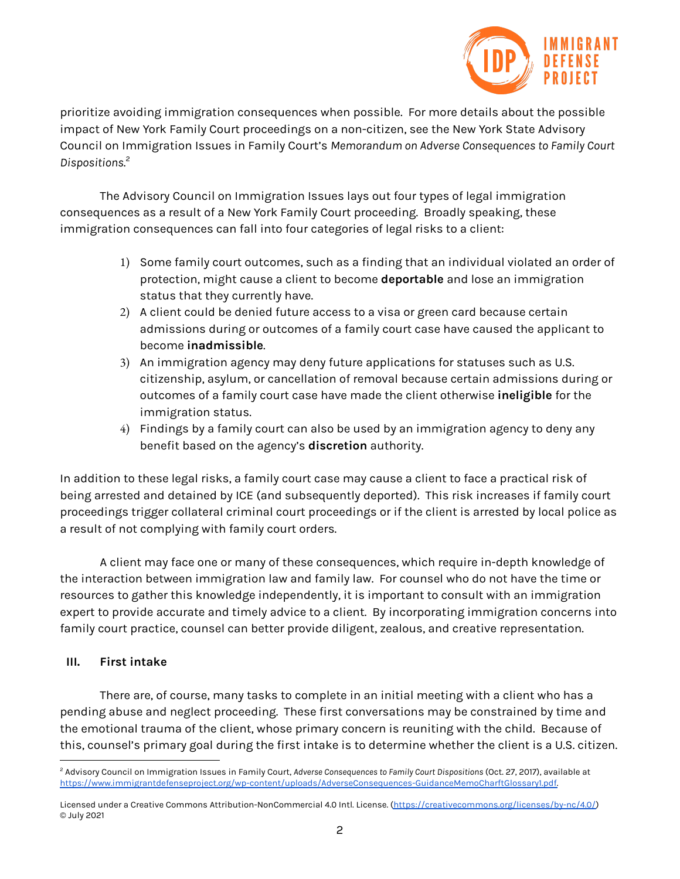

prioritize avoiding immigration consequences when possible. For more details about the possible impact of New York Family Court proceedings on a non-citizen, see the New York State Advisory Council on Immigration Issues in Family Court's *Memorandum on Adverse Consequences to Family Court Dispositions*. 2

The Advisory Council on Immigration Issues lays out four types of legal immigration consequences as a result of a New York Family Court proceeding. Broadly speaking, these immigration consequences can fall into four categories of legal risks to a client:

- 1) Some family court outcomes, such as a finding that an individual violated an order of protection, might cause a client to become **deportable** and lose an immigration status that they currently have.
- 2) A client could be denied future access to a visa or green card because certain admissions during or outcomes of a family court case have caused the applicant to become **inadmissible**.
- 3) An immigration agency may deny future applications for statuses such as U.S. citizenship, asylum, or cancellation of removal because certain admissions during or outcomes of a family court case have made the client otherwise **ineligible** for the immigration status.
- 4) Findings by a family court can also be used by an immigration agency to deny any benefit based on the agency's **discretion** authority.

In addition to these legal risks, a family court case may cause a client to face a practical risk of being arrested and detained by ICE (and subsequently deported). This risk increases if family court proceedings trigger collateral criminal court proceedings or if the client is arrested by local police as a result of not complying with family court orders.

A client may face one or many of these consequences, which require in-depth knowledge of the interaction between immigration law and family law. For counsel who do not have the time or resources to gather this knowledge independently, it is important to consult with an immigration expert to provide accurate and timely advice to a client. By incorporating immigration concerns into family court practice, counsel can better provide diligent, zealous, and creative representation.

# **III. First intake**

There are, of course, many tasks to complete in an initial meeting with a client who has a pending abuse and neglect proceeding. These first conversations may be constrained by time and the emotional trauma of the client, whose primary concern is reuniting with the child. Because of this, counsel's primary goal during the first intake is to determine whether the client is a U.S. citizen.

<sup>2</sup> Advisory Council on Immigration Issues in Family Court, *Adverse Consequences to Family Court Dispositions* (Oct. 27, 2017), available at [https://www.immigrantdefenseproject.org/wp-content/uploads/AdverseConsequences-GuidanceMemoCharftGlossary1.pdf.](https://www.immigrantdefenseproject.org/wp-content/uploads/AdverseConsequences-GuidanceMemoCharftGlossary1.pdf)

Licensed under a Creative Commons Attribution-NonCommercial 4.0 Intl. License. [\(https://creativecommons.org/licenses/by-nc/4.0/\)](https://creativecommons.org/licenses/by-nc/4.0/) © July 2021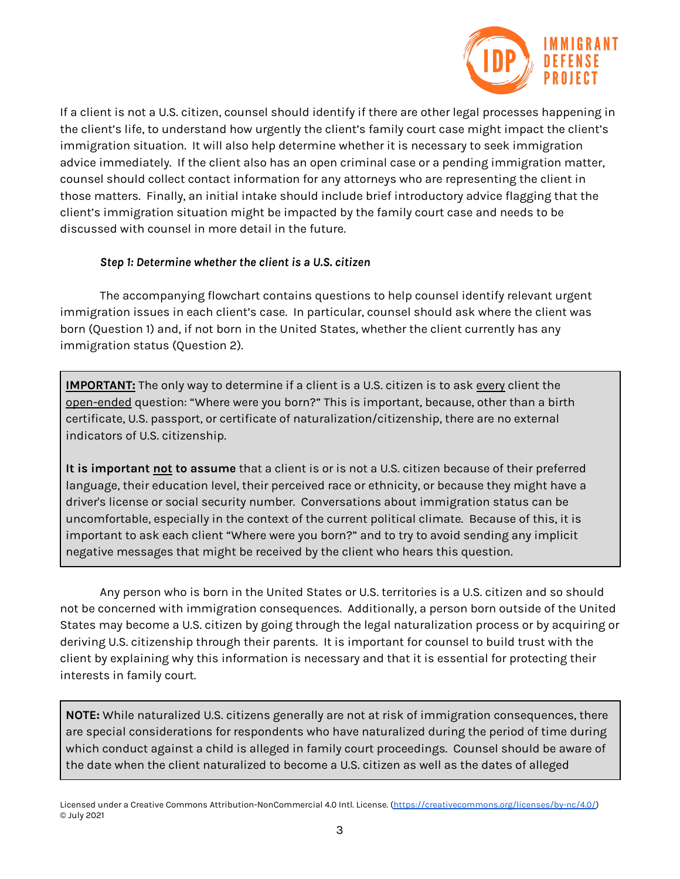

If a client is not a U.S. citizen, counsel should identify if there are other legal processes happening in the client's life, to understand how urgently the client's family court case might impact the client's immigration situation. It will also help determine whether it is necessary to seek immigration advice immediately. If the client also has an open criminal case or a pending immigration matter, counsel should collect contact information for any attorneys who are representing the client in those matters. Finally, an initial intake should include brief introductory advice flagging that the client's immigration situation might be impacted by the family court case and needs to be discussed with counsel in more detail in the future.

## *Step 1: Determine whether the client is a U.S. citizen*

The accompanying flowchart contains questions to help counsel identify relevant urgent immigration issues in each client's case. In particular, counsel should ask where the client was born (Question 1) and, if not born in the United States, whether the client currently has any immigration status (Question 2).

**IMPORTANT:** The only way to determine if a client is a U.S. citizen is to ask every client the open-ended question: "Where were you born?" This is important, because, other than a birth certificate, U.S. passport, or certificate of naturalization/citizenship, there are no external indicators of U.S. citizenship.

**It is important not to assume** that a client is or is not a U.S. citizen because of their preferred language, their education level, their perceived race or ethnicity, or because they might have a driver's license or social security number. Conversations about immigration status can be uncomfortable, especially in the context of the current political climate. Because of this, it is important to ask each client "Where were you born?" and to try to avoid sending any implicit negative messages that might be received by the client who hears this question.

Any person who is born in the United States or U.S. territories is a U.S. citizen and so should not be concerned with immigration consequences. Additionally, a person born outside of the United States may become a U.S. citizen by going through the legal naturalization process or by acquiring or deriving U.S. citizenship through their parents. It is important for counsel to build trust with the client by explaining why this information is necessary and that it is essential for protecting their interests in family court.

**NOTE:** While naturalized U.S. citizens generally are not at risk of immigration consequences, there are special considerations for respondents who have naturalized during the period of time during which conduct against a child is alleged in family court proceedings. Counsel should be aware of the date when the client naturalized to become a U.S. citizen as well as the dates of alleged

Licensed under a Creative Commons Attribution-NonCommercial 4.0 Intl. License. [\(https://creativecommons.org/licenses/by-nc/4.0/\)](https://creativecommons.org/licenses/by-nc/4.0/) © July 2021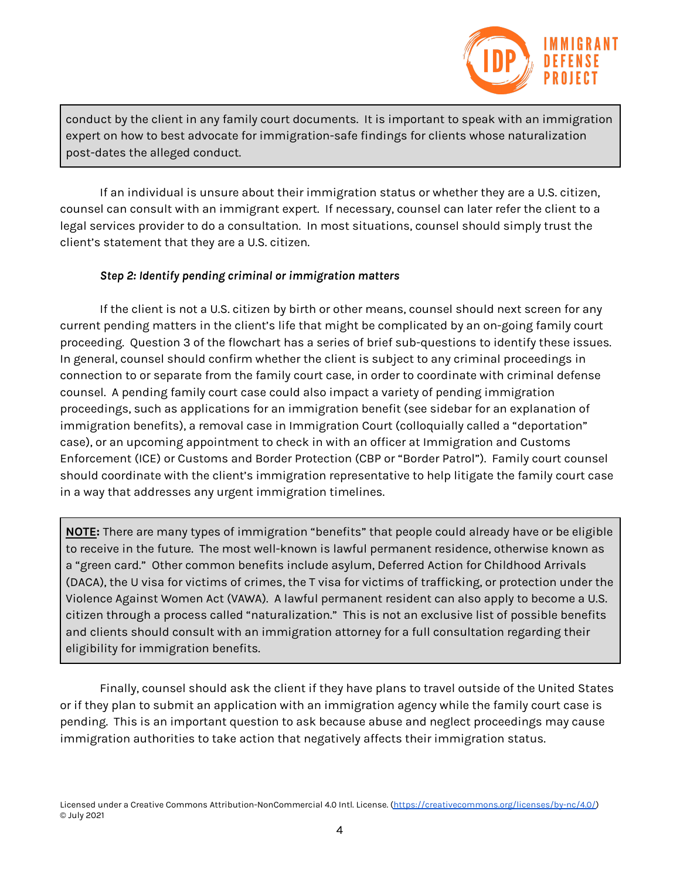

conduct by the client in any family court documents. It is important to speak with an immigration expert on how to best advocate for immigration-safe findings for clients whose naturalization post-dates the alleged conduct.

If an individual is unsure about their immigration status or whether they are a U.S. citizen, counsel can consult with an immigrant expert. If necessary, counsel can later refer the client to a legal services provider to do a consultation. In most situations, counsel should simply trust the client's statement that they are a U.S. citizen.

## *Step 2: Identify pending criminal or immigration matters*

If the client is not a U.S. citizen by birth or other means, counsel should next screen for any current pending matters in the client's life that might be complicated by an on-going family court proceeding. Question 3 of the flowchart has a series of brief sub-questions to identify these issues. In general, counsel should confirm whether the client is subject to any criminal proceedings in connection to or separate from the family court case, in order to coordinate with criminal defense counsel. A pending family court case could also impact a variety of pending immigration proceedings, such as applications for an immigration benefit (see sidebar for an explanation of immigration benefits), a removal case in Immigration Court (colloquially called a "deportation" case), or an upcoming appointment to check in with an officer at Immigration and Customs Enforcement (ICE) or Customs and Border Protection (CBP or "Border Patrol"). Family court counsel should coordinate with the client's immigration representative to help litigate the family court case in a way that addresses any urgent immigration timelines.

**NOTE:** There are many types of immigration "benefits" that people could already have or be eligible to receive in the future. The most well-known is lawful permanent residence, otherwise known as a "green card." Other common benefits include asylum, Deferred Action for Childhood Arrivals (DACA), the U visa for victims of crimes, the T visa for victims of trafficking, or protection under the Violence Against Women Act (VAWA). A lawful permanent resident can also apply to become a U.S. citizen through a process called "naturalization." This is not an exclusive list of possible benefits and clients should consult with an immigration attorney for a full consultation regarding their eligibility for immigration benefits.

Finally, counsel should ask the client if they have plans to travel outside of the United States or if they plan to submit an application with an immigration agency while the family court case is pending. This is an important question to ask because abuse and neglect proceedings may cause immigration authorities to take action that negatively affects their immigration status.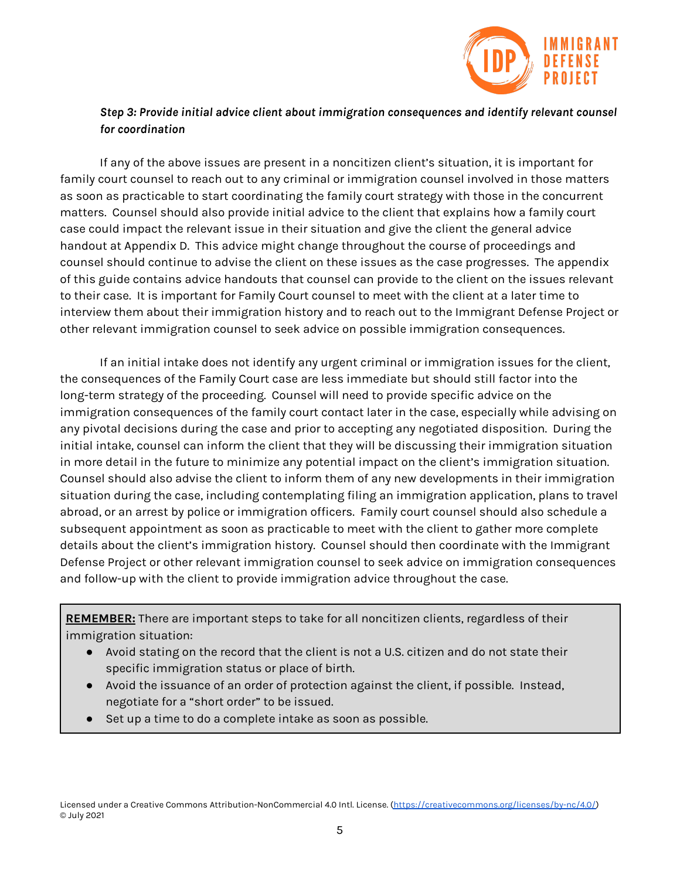

# *Step 3: Provide initial advice client about immigration consequences and identify relevant counsel for coordination*

If any of the above issues are present in a noncitizen client's situation, it is important for family court counsel to reach out to any criminal or immigration counsel involved in those matters as soon as practicable to start coordinating the family court strategy with those in the concurrent matters. Counsel should also provide initial advice to the client that explains how a family court case could impact the relevant issue in their situation and give the client the general advice handout at Appendix D. This advice might change throughout the course of proceedings and counsel should continue to advise the client on these issues as the case progresses. The appendix of this guide contains advice handouts that counsel can provide to the client on the issues relevant to their case. It is important for Family Court counsel to meet with the client at a later time to interview them about their immigration history and to reach out to the Immigrant Defense Project or other relevant immigration counsel to seek advice on possible immigration consequences.

If an initial intake does not identify any urgent criminal or immigration issues for the client, the consequences of the Family Court case are less immediate but should still factor into the long-term strategy of the proceeding. Counsel will need to provide specific advice on the immigration consequences of the family court contact later in the case, especially while advising on any pivotal decisions during the case and prior to accepting any negotiated disposition. During the initial intake, counsel can inform the client that they will be discussing their immigration situation in more detail in the future to minimize any potential impact on the client's immigration situation. Counsel should also advise the client to inform them of any new developments in their immigration situation during the case, including contemplating filing an immigration application, plans to travel abroad, or an arrest by police or immigration officers. Family court counsel should also schedule a subsequent appointment as soon as practicable to meet with the client to gather more complete details about the client's immigration history. Counsel should then coordinate with the Immigrant Defense Project or other relevant immigration counsel to seek advice on immigration consequences and follow-up with the client to provide immigration advice throughout the case.

**REMEMBER:** There are important steps to take for all noncitizen clients, regardless of their immigration situation:

- Avoid stating on the record that the client is not a U.S. citizen and do not state their specific immigration status or place of birth.
- Avoid the issuance of an order of protection against the client, if possible. Instead, negotiate for a "short order" to be issued.
- Set up a time to do a complete intake as soon as possible.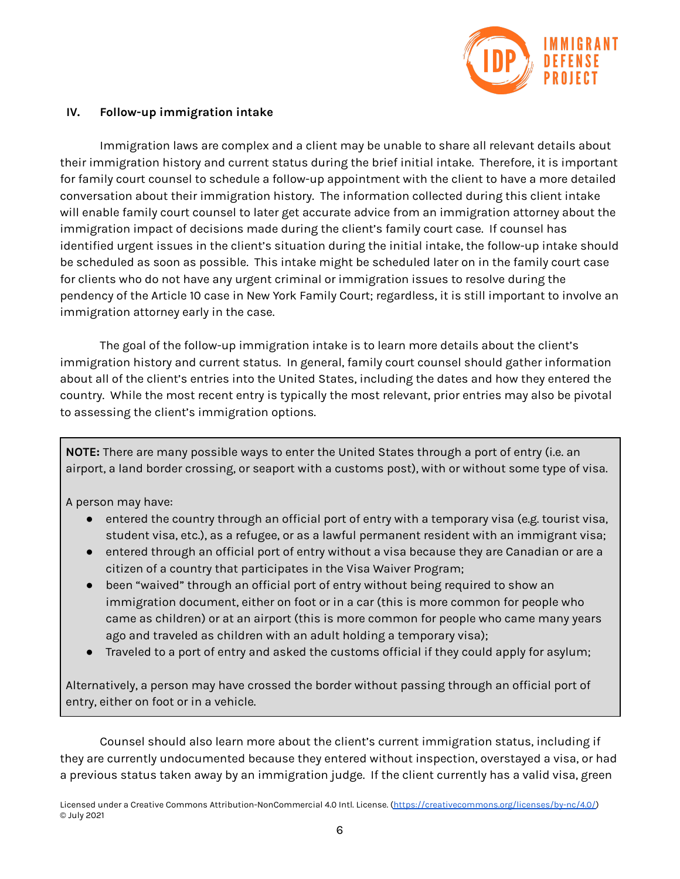

## **IV. Follow-up immigration intake**

Immigration laws are complex and a client may be unable to share all relevant details about their immigration history and current status during the brief initial intake. Therefore, it is important for family court counsel to schedule a follow-up appointment with the client to have a more detailed conversation about their immigration history. The information collected during this client intake will enable family court counsel to later get accurate advice from an immigration attorney about the immigration impact of decisions made during the client's family court case. If counsel has identified urgent issues in the client's situation during the initial intake, the follow-up intake should be scheduled as soon as possible. This intake might be scheduled later on in the family court case for clients who do not have any urgent criminal or immigration issues to resolve during the pendency of the Article 10 case in New York Family Court; regardless, it is still important to involve an immigration attorney early in the case.

The goal of the follow-up immigration intake is to learn more details about the client's immigration history and current status. In general, family court counsel should gather information about all of the client's entries into the United States, including the dates and how they entered the country. While the most recent entry is typically the most relevant, prior entries may also be pivotal to assessing the client's immigration options.

**NOTE:** There are many possible ways to enter the United States through a port of entry (i.e. an airport, a land border crossing, or seaport with a customs post), with or without some type of visa.

A person may have:

- entered the country through an official port of entry with a temporary visa (e.g. tourist visa, student visa, etc.), as a refugee, or as a lawful permanent resident with an immigrant visa;
- entered through an official port of entry without a visa because they are Canadian or are a citizen of a country that participates in the Visa Waiver Program;
- been "waived" through an official port of entry without being required to show an immigration document, either on foot or in a car (this is more common for people who came as children) or at an airport (this is more common for people who came many years ago and traveled as children with an adult holding a temporary visa);
- Traveled to a port of entry and asked the customs official if they could apply for asylum;

Alternatively, a person may have crossed the border without passing through an official port of entry, either on foot or in a vehicle.

Counsel should also learn more about the client's current immigration status, including if they are currently undocumented because they entered without inspection, overstayed a visa, or had a previous status taken away by an immigration judge. If the client currently has a valid visa, green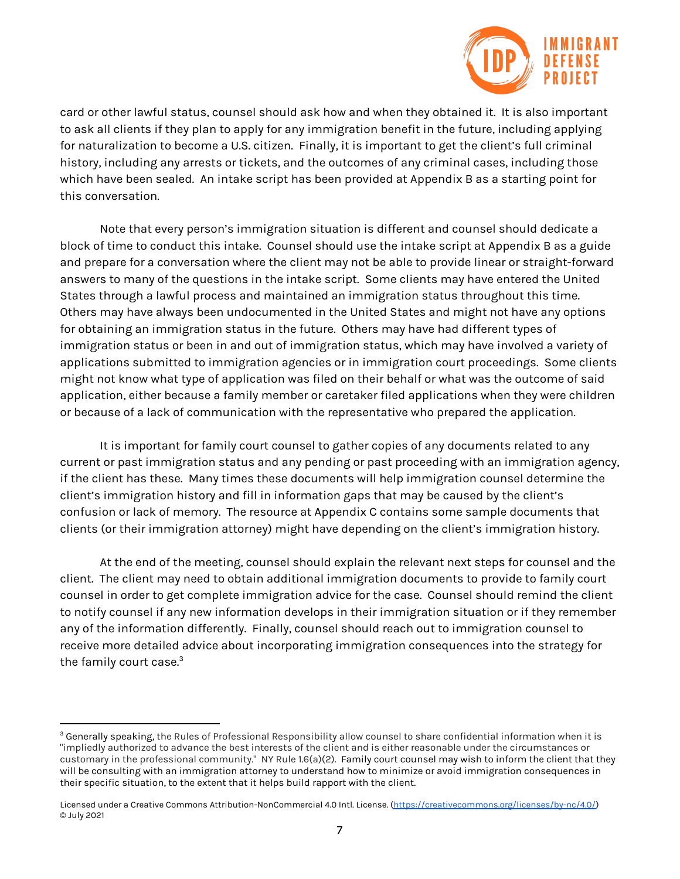

card or other lawful status, counsel should ask how and when they obtained it. It is also important to ask all clients if they plan to apply for any immigration benefit in the future, including applying for naturalization to become a U.S. citizen. Finally, it is important to get the client's full criminal history, including any arrests or tickets, and the outcomes of any criminal cases, including those which have been sealed. An intake script has been provided at Appendix B as a starting point for this conversation.

Note that every person's immigration situation is different and counsel should dedicate a block of time to conduct this intake. Counsel should use the intake script at Appendix B as a guide and prepare for a conversation where the client may not be able to provide linear or straight-forward answers to many of the questions in the intake script. Some clients may have entered the United States through a lawful process and maintained an immigration status throughout this time. Others may have always been undocumented in the United States and might not have any options for obtaining an immigration status in the future. Others may have had different types of immigration status or been in and out of immigration status, which may have involved a variety of applications submitted to immigration agencies or in immigration court proceedings. Some clients might not know what type of application was filed on their behalf or what was the outcome of said application, either because a family member or caretaker filed applications when they were children or because of a lack of communication with the representative who prepared the application.

It is important for family court counsel to gather copies of any documents related to any current or past immigration status and any pending or past proceeding with an immigration agency, if the client has these. Many times these documents will help immigration counsel determine the client's immigration history and fill in information gaps that may be caused by the client's confusion or lack of memory. The resource at Appendix C contains some sample documents that clients (or their immigration attorney) might have depending on the client's immigration history.

At the end of the meeting, counsel should explain the relevant next steps for counsel and the client. The client may need to obtain additional immigration documents to provide to family court counsel in order to get complete immigration advice for the case. Counsel should remind the client to notify counsel if any new information develops in their immigration situation or if they remember any of the information differently. Finally, counsel should reach out to immigration counsel to receive more detailed advice about incorporating immigration consequences into the strategy for the family court case.<sup>3</sup>

<sup>&</sup>lt;sup>3</sup> Generally speaking, the Rules of Professional Responsibility allow counsel to share confidential information when it is "impliedly authorized to advance the best interests of the client and is either reasonable under the circumstances or customary in the professional community." NY Rule 1.6(a)(2). Family court counsel may wish to inform the client that they will be consulting with an immigration attorney to understand how to minimize or avoid immigration consequences in their specific situation, to the extent that it helps build rapport with the client.

Licensed under a Creative Commons Attribution-NonCommercial 4.0 Intl. License. [\(https://creativecommons.org/licenses/by-nc/4.0/\)](https://creativecommons.org/licenses/by-nc/4.0/) © July 2021